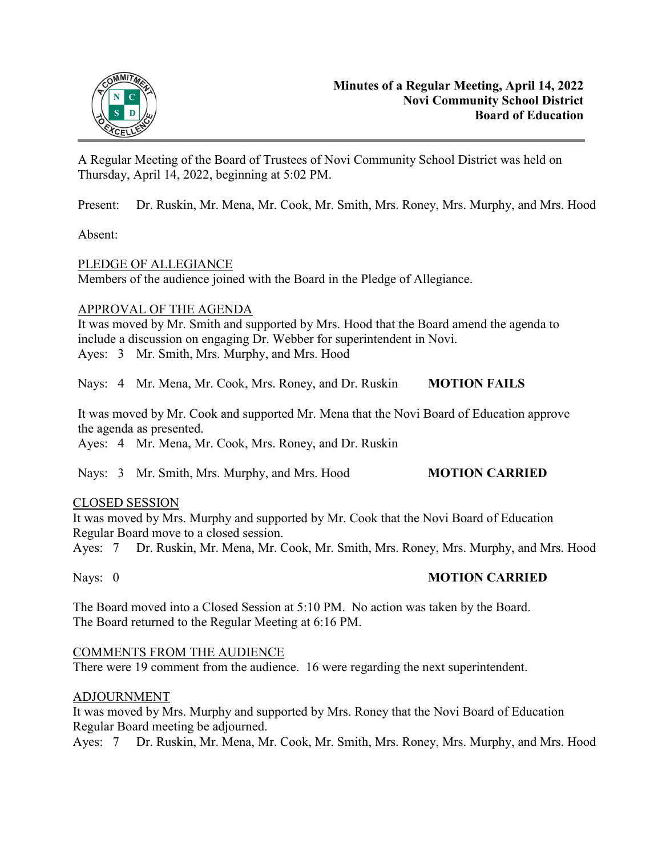

A Regular Meeting of the Board of Trustees of Novi Community School District was held on Thursday, April 14, 2022, beginning at 5:02 PM.

Present: Dr. Ruskin, Mr. Mena, Mr. Cook, Mr. Smith, Mrs. Roney, Mrs. Murphy, and Mrs. Hood

Absent:

## PLEDGE OF ALLEGIANCE

Members of the audience joined with the Board in the Pledge of Allegiance.

#### APPROVAL OF THE AGENDA

It was moved by Mr. Smith and supported by Mrs. Hood that the Board amend the agenda to include a discussion on engaging Dr. Webber for superintendent in Novi. Ayes: 3 Mr. Smith, Mrs. Murphy, and Mrs. Hood

Nays: 4 Mr. Mena, Mr. Cook, Mrs. Roney, and Dr. Ruskin **MOTION FAILS**

It was moved by Mr. Cook and supported Mr. Mena that the Novi Board of Education approve the agenda as presented.

Ayes: 4 Mr. Mena, Mr. Cook, Mrs. Roney, and Dr. Ruskin

Nays: 3 Mr. Smith, Mrs. Murphy, and Mrs. Hood **MOTION CARRIED** 

## CLOSED SESSION

It was moved by Mrs. Murphy and supported by Mr. Cook that the Novi Board of Education Regular Board move to a closed session.

Ayes: 7 Dr. Ruskin, Mr. Mena, Mr. Cook, Mr. Smith, Mrs. Roney, Mrs. Murphy, and Mrs. Hood

## Nays: 0 **MOTION CARRIED**

The Board moved into a Closed Session at 5:10 PM. No action was taken by the Board. The Board returned to the Regular Meeting at 6:16 PM.

## COMMENTS FROM THE AUDIENCE

There were 19 comment from the audience. 16 were regarding the next superintendent.

## ADJOURNMENT

It was moved by Mrs. Murphy and supported by Mrs. Roney that the Novi Board of Education Regular Board meeting be adjourned.

Ayes: 7 Dr. Ruskin, Mr. Mena, Mr. Cook, Mr. Smith, Mrs. Roney, Mrs. Murphy, and Mrs. Hood